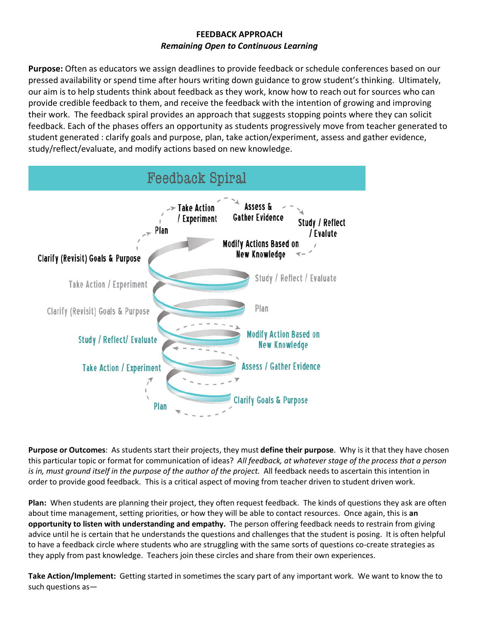## **FEEDBACK APPROACH** *Remaining Open to Continuous Learning*

**Purpose:** Often as educators we assign deadlines to provide feedback or schedule conferences based on our pressed availability or spend time after hours writing down guidance to grow student's thinking. Ultimately, our aim is to help students think about feedback as they work, know how to reach out for sources who can provide credible feedback to them, and receive the feedback with the intention of growing and improving their work. The feedback spiral provides an approach that suggests stopping points where they can solicit feedback. Each of the phases offers an opportunity as students progressively move from teacher generated to student generated : clarify goals and purpose, plan, take action/experiment, assess and gather evidence, study/reflect/evaluate, and modify actions based on new knowledge.



**Purpose or Outcomes**: As students start their projects, they must **define their purpose**. Why is it that they have chosen this particular topic or format for communication of ideas? *All feedback, at whatever stage of the process that a person is in, must ground itself in the purpose of the author of the project.* All feedback needs to ascertain this intention in order to provide good feedback. This is a critical aspect of moving from teacher driven to student driven work.

**Plan:** When students are planning their project, they often request feedback. The kinds of questions they ask are often about time management, setting priorities, or how they will be able to contact resources. Once again, this is **an opportunity to listen with understanding and empathy.** The person offering feedback needs to restrain from giving advice until he is certain that he understands the questions and challenges that the student is posing. It is often helpful to have a feedback circle where students who are struggling with the same sorts of questions co-create strategies as they apply from past knowledge. Teachers join these circles and share from their own experiences.

**Take Action/Implement:** Getting started in sometimes the scary part of any important work. We want to know the to such questions as—